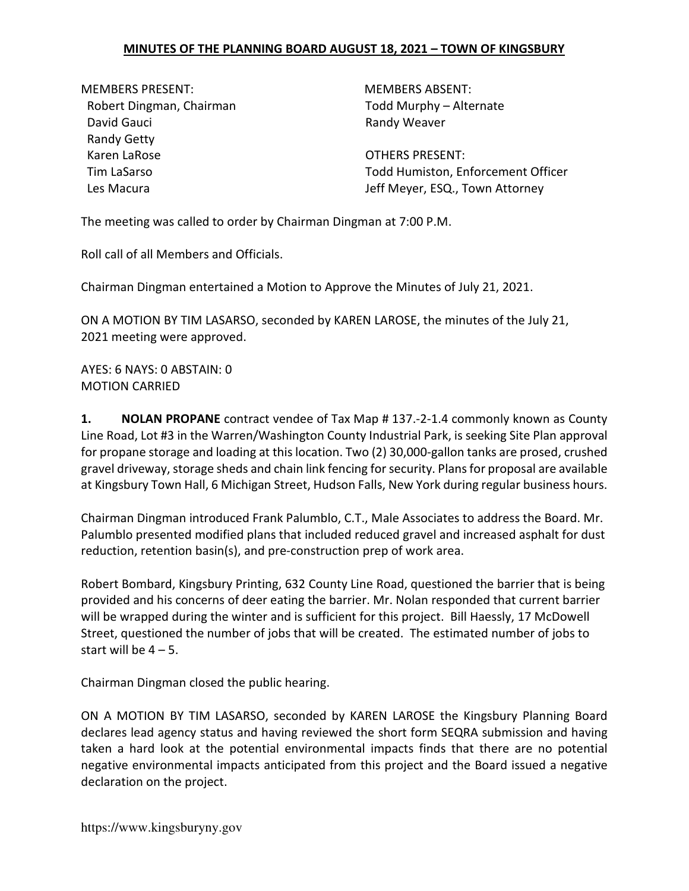MEMBERS PRESENT: MEMBERS ABSENT: Robert Dingman, Chairman Todd Murphy – Alternate David Gauci **David Gauci Randy Weaver** Randy Getty Karen LaRose **Calculation Community** COTHERS PRESENT:

Tim LaSarso Todd Humiston, Enforcement Officer Les Macura **Les Macura** Jeff Meyer, ESQ., Town Attorney

The meeting was called to order by Chairman Dingman at 7:00 P.M.

Roll call of all Members and Officials.

Chairman Dingman entertained a Motion to Approve the Minutes of July 21, 2021.

ON A MOTION BY TIM LASARSO, seconded by KAREN LAROSE, the minutes of the July 21, 2021 meeting were approved.

AYES: 6 NAYS: 0 ABSTAIN: 0 MOTION CARRIED

**1.** NOLAN PROPANE contract vendee of Tax Map # 137.-2-1.4 commonly known as County Line Road, Lot #3 in the Warren/Washington County Industrial Park, is seeking Site Plan approval for propane storage and loading at this location. Two (2) 30,000-gallon tanks are prosed, crushed gravel driveway, storage sheds and chain link fencing for security. Plans for proposal are available at Kingsbury Town Hall, 6 Michigan Street, Hudson Falls, New York during regular business hours.

Chairman Dingman introduced Frank Palumblo, C.T., Male Associates to address the Board. Mr. Palumblo presented modified plans that included reduced gravel and increased asphalt for dust reduction, retention basin(s), and pre-construction prep of work area.

Robert Bombard, Kingsbury Printing, 632 County Line Road, questioned the barrier that is being provided and his concerns of deer eating the barrier. Mr. Nolan responded that current barrier will be wrapped during the winter and is sufficient for this project. Bill Haessly, 17 McDowell Street, questioned the number of jobs that will be created. The estimated number of jobs to start will be  $4 - 5$ .

Chairman Dingman closed the public hearing.

ON A MOTION BY TIM LASARSO, seconded by KAREN LAROSE the Kingsbury Planning Board declares lead agency status and having reviewed the short form SEQRA submission and having taken a hard look at the potential environmental impacts finds that there are no potential negative environmental impacts anticipated from this project and the Board issued a negative declaration on the project.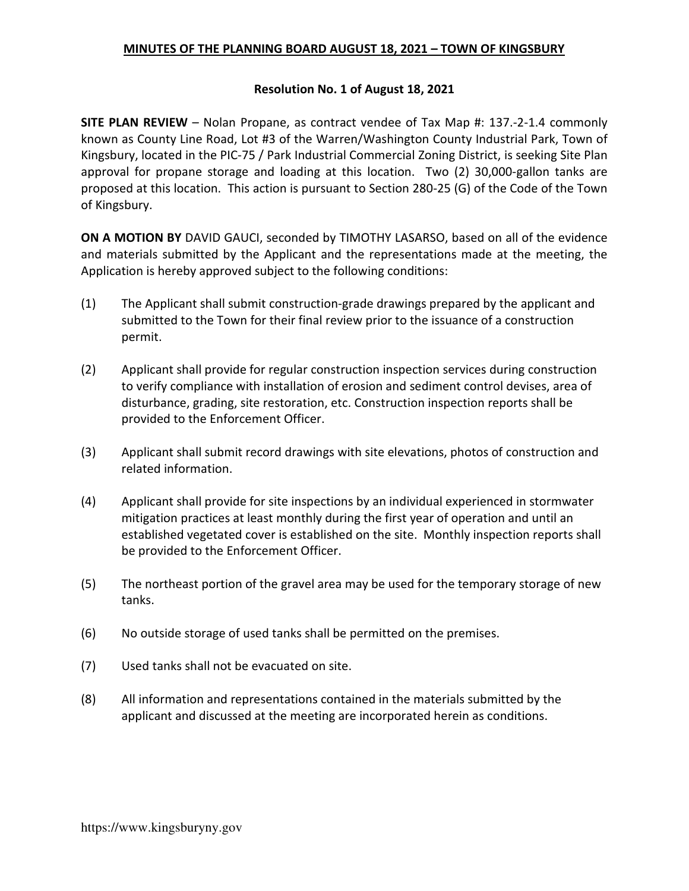#### Resolution No. 1 of August 18, 2021

SITE PLAN REVIEW – Nolan Propane, as contract vendee of Tax Map #: 137.-2-1.4 commonly known as County Line Road, Lot #3 of the Warren/Washington County Industrial Park, Town of Kingsbury, located in the PIC-75 / Park Industrial Commercial Zoning District, is seeking Site Plan approval for propane storage and loading at this location. Two (2) 30,000-gallon tanks are proposed at this location. This action is pursuant to Section 280-25 (G) of the Code of the Town of Kingsbury.

ON A MOTION BY DAVID GAUCI, seconded by TIMOTHY LASARSO, based on all of the evidence and materials submitted by the Applicant and the representations made at the meeting, the Application is hereby approved subject to the following conditions:

- (1) The Applicant shall submit construction-grade drawings prepared by the applicant and submitted to the Town for their final review prior to the issuance of a construction permit.
- (2) Applicant shall provide for regular construction inspection services during construction to verify compliance with installation of erosion and sediment control devises, area of disturbance, grading, site restoration, etc. Construction inspection reports shall be provided to the Enforcement Officer.
- (3) Applicant shall submit record drawings with site elevations, photos of construction and related information.
- (4) Applicant shall provide for site inspections by an individual experienced in stormwater mitigation practices at least monthly during the first year of operation and until an established vegetated cover is established on the site. Monthly inspection reports shall be provided to the Enforcement Officer.
- (5) The northeast portion of the gravel area may be used for the temporary storage of new tanks.
- (6) No outside storage of used tanks shall be permitted on the premises.
- (7) Used tanks shall not be evacuated on site.
- (8) All information and representations contained in the materials submitted by the applicant and discussed at the meeting are incorporated herein as conditions.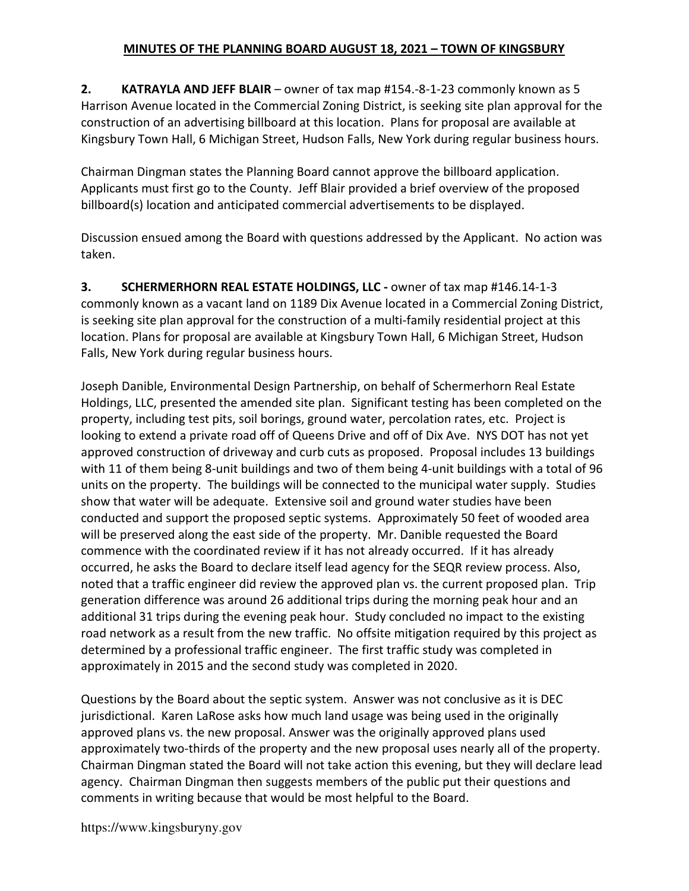2. KATRAYLA AND JEFF BLAIR – owner of tax map #154.-8-1-23 commonly known as 5 Harrison Avenue located in the Commercial Zoning District, is seeking site plan approval for the construction of an advertising billboard at this location. Plans for proposal are available at Kingsbury Town Hall, 6 Michigan Street, Hudson Falls, New York during regular business hours.

Chairman Dingman states the Planning Board cannot approve the billboard application. Applicants must first go to the County. Jeff Blair provided a brief overview of the proposed billboard(s) location and anticipated commercial advertisements to be displayed.

Discussion ensued among the Board with questions addressed by the Applicant. No action was taken.

3. SCHERMERHORN REAL ESTATE HOLDINGS, LLC - owner of tax map #146.14-1-3 commonly known as a vacant land on 1189 Dix Avenue located in a Commercial Zoning District, is seeking site plan approval for the construction of a multi-family residential project at this location. Plans for proposal are available at Kingsbury Town Hall, 6 Michigan Street, Hudson Falls, New York during regular business hours.

Joseph Danible, Environmental Design Partnership, on behalf of Schermerhorn Real Estate Holdings, LLC, presented the amended site plan. Significant testing has been completed on the property, including test pits, soil borings, ground water, percolation rates, etc. Project is looking to extend a private road off of Queens Drive and off of Dix Ave. NYS DOT has not yet approved construction of driveway and curb cuts as proposed. Proposal includes 13 buildings with 11 of them being 8-unit buildings and two of them being 4-unit buildings with a total of 96 units on the property. The buildings will be connected to the municipal water supply. Studies show that water will be adequate. Extensive soil and ground water studies have been conducted and support the proposed septic systems. Approximately 50 feet of wooded area will be preserved along the east side of the property. Mr. Danible requested the Board commence with the coordinated review if it has not already occurred. If it has already occurred, he asks the Board to declare itself lead agency for the SEQR review process. Also, noted that a traffic engineer did review the approved plan vs. the current proposed plan. Trip generation difference was around 26 additional trips during the morning peak hour and an additional 31 trips during the evening peak hour. Study concluded no impact to the existing road network as a result from the new traffic. No offsite mitigation required by this project as determined by a professional traffic engineer. The first traffic study was completed in approximately in 2015 and the second study was completed in 2020.

Questions by the Board about the septic system. Answer was not conclusive as it is DEC jurisdictional. Karen LaRose asks how much land usage was being used in the originally approved plans vs. the new proposal. Answer was the originally approved plans used approximately two-thirds of the property and the new proposal uses nearly all of the property. Chairman Dingman stated the Board will not take action this evening, but they will declare lead agency. Chairman Dingman then suggests members of the public put their questions and comments in writing because that would be most helpful to the Board.

https://www.kingsburyny.gov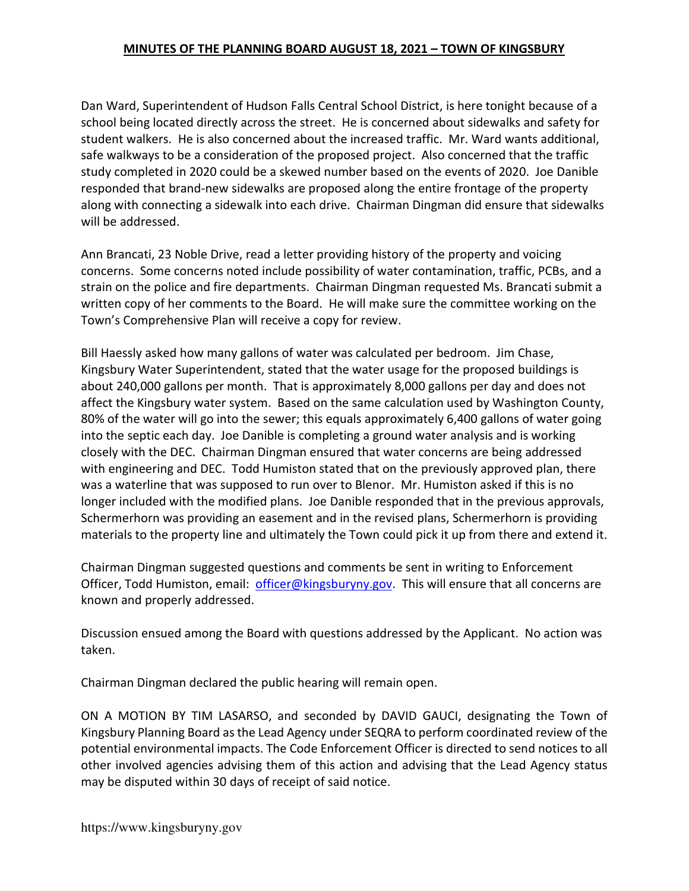Dan Ward, Superintendent of Hudson Falls Central School District, is here tonight because of a school being located directly across the street. He is concerned about sidewalks and safety for student walkers. He is also concerned about the increased traffic. Mr. Ward wants additional, safe walkways to be a consideration of the proposed project. Also concerned that the traffic study completed in 2020 could be a skewed number based on the events of 2020. Joe Danible responded that brand-new sidewalks are proposed along the entire frontage of the property along with connecting a sidewalk into each drive. Chairman Dingman did ensure that sidewalks will be addressed.

Ann Brancati, 23 Noble Drive, read a letter providing history of the property and voicing concerns. Some concerns noted include possibility of water contamination, traffic, PCBs, and a strain on the police and fire departments. Chairman Dingman requested Ms. Brancati submit a written copy of her comments to the Board. He will make sure the committee working on the Town's Comprehensive Plan will receive a copy for review.

Bill Haessly asked how many gallons of water was calculated per bedroom. Jim Chase, Kingsbury Water Superintendent, stated that the water usage for the proposed buildings is about 240,000 gallons per month. That is approximately 8,000 gallons per day and does not affect the Kingsbury water system. Based on the same calculation used by Washington County, 80% of the water will go into the sewer; this equals approximately 6,400 gallons of water going into the septic each day. Joe Danible is completing a ground water analysis and is working closely with the DEC. Chairman Dingman ensured that water concerns are being addressed with engineering and DEC. Todd Humiston stated that on the previously approved plan, there was a waterline that was supposed to run over to Blenor. Mr. Humiston asked if this is no longer included with the modified plans. Joe Danible responded that in the previous approvals, Schermerhorn was providing an easement and in the revised plans, Schermerhorn is providing materials to the property line and ultimately the Town could pick it up from there and extend it.

Chairman Dingman suggested questions and comments be sent in writing to Enforcement Officer, Todd Humiston, email: officer@kingsburyny.gov. This will ensure that all concerns are known and properly addressed.

Discussion ensued among the Board with questions addressed by the Applicant. No action was taken.

Chairman Dingman declared the public hearing will remain open.

ON A MOTION BY TIM LASARSO, and seconded by DAVID GAUCI, designating the Town of Kingsbury Planning Board as the Lead Agency under SEQRA to perform coordinated review of the potential environmental impacts. The Code Enforcement Officer is directed to send notices to all other involved agencies advising them of this action and advising that the Lead Agency status may be disputed within 30 days of receipt of said notice.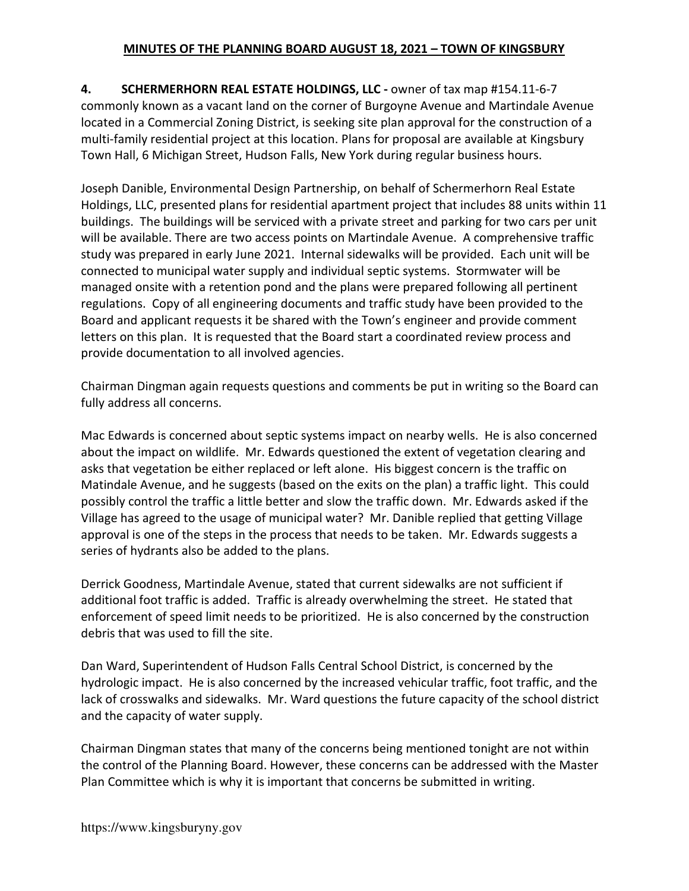4. SCHERMERHORN REAL ESTATE HOLDINGS, LLC - owner of tax map #154.11-6-7 commonly known as a vacant land on the corner of Burgoyne Avenue and Martindale Avenue located in a Commercial Zoning District, is seeking site plan approval for the construction of a multi-family residential project at this location. Plans for proposal are available at Kingsbury Town Hall, 6 Michigan Street, Hudson Falls, New York during regular business hours.

Joseph Danible, Environmental Design Partnership, on behalf of Schermerhorn Real Estate Holdings, LLC, presented plans for residential apartment project that includes 88 units within 11 buildings. The buildings will be serviced with a private street and parking for two cars per unit will be available. There are two access points on Martindale Avenue. A comprehensive traffic study was prepared in early June 2021. Internal sidewalks will be provided. Each unit will be connected to municipal water supply and individual septic systems. Stormwater will be managed onsite with a retention pond and the plans were prepared following all pertinent regulations. Copy of all engineering documents and traffic study have been provided to the Board and applicant requests it be shared with the Town's engineer and provide comment letters on this plan. It is requested that the Board start a coordinated review process and provide documentation to all involved agencies.

Chairman Dingman again requests questions and comments be put in writing so the Board can fully address all concerns.

Mac Edwards is concerned about septic systems impact on nearby wells. He is also concerned about the impact on wildlife. Mr. Edwards questioned the extent of vegetation clearing and asks that vegetation be either replaced or left alone. His biggest concern is the traffic on Matindale Avenue, and he suggests (based on the exits on the plan) a traffic light. This could possibly control the traffic a little better and slow the traffic down. Mr. Edwards asked if the Village has agreed to the usage of municipal water? Mr. Danible replied that getting Village approval is one of the steps in the process that needs to be taken. Mr. Edwards suggests a series of hydrants also be added to the plans.

Derrick Goodness, Martindale Avenue, stated that current sidewalks are not sufficient if additional foot traffic is added. Traffic is already overwhelming the street. He stated that enforcement of speed limit needs to be prioritized. He is also concerned by the construction debris that was used to fill the site.

Dan Ward, Superintendent of Hudson Falls Central School District, is concerned by the hydrologic impact. He is also concerned by the increased vehicular traffic, foot traffic, and the lack of crosswalks and sidewalks. Mr. Ward questions the future capacity of the school district and the capacity of water supply.

Chairman Dingman states that many of the concerns being mentioned tonight are not within the control of the Planning Board. However, these concerns can be addressed with the Master Plan Committee which is why it is important that concerns be submitted in writing.